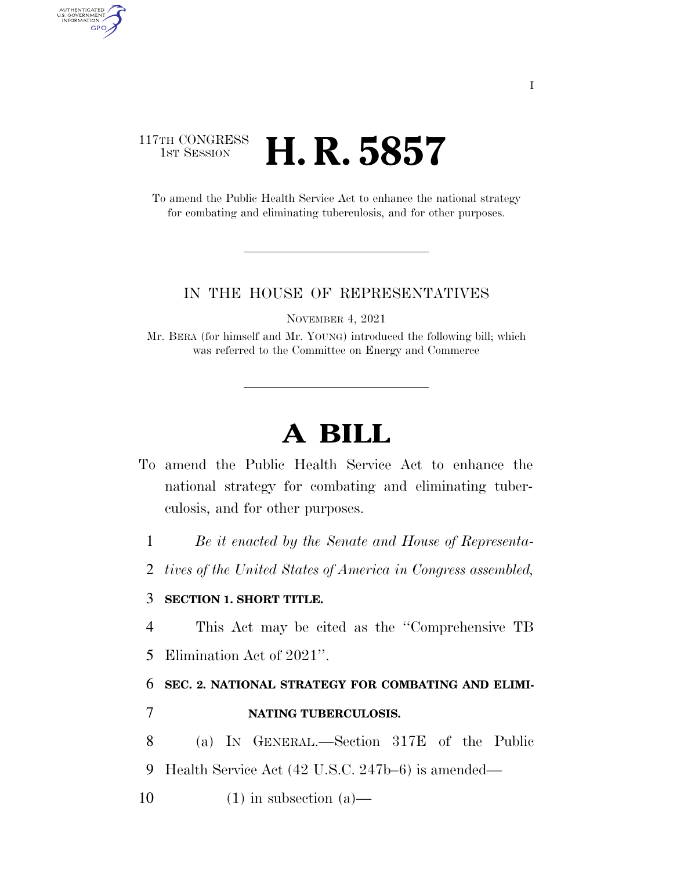### 117TH CONGRESS **1st Session H. R. 5857**

AUTHENTICATED<br>U.S. GOVERNMENT<br>INFORMATION **GPO** 

> To amend the Public Health Service Act to enhance the national strategy for combating and eliminating tuberculosis, and for other purposes.

#### IN THE HOUSE OF REPRESENTATIVES

NOVEMBER 4, 2021

Mr. BERA (for himself and Mr. YOUNG) introduced the following bill; which was referred to the Committee on Energy and Commerce

# **A BILL**

- To amend the Public Health Service Act to enhance the national strategy for combating and eliminating tuberculosis, and for other purposes.
	- 1 *Be it enacted by the Senate and House of Representa-*
	- 2 *tives of the United States of America in Congress assembled,*

#### 3 **SECTION 1. SHORT TITLE.**

4 This Act may be cited as the ''Comprehensive TB 5 Elimination Act of 2021''.

## 6 **SEC. 2. NATIONAL STRATEGY FOR COMBATING AND ELIMI-**

#### 7 **NATING TUBERCULOSIS.**

- 8 (a) IN GENERAL.—Section 317E of the Public 9 Health Service Act (42 U.S.C. 247b–6) is amended—
- 10  $(1)$  in subsection  $(a)$ —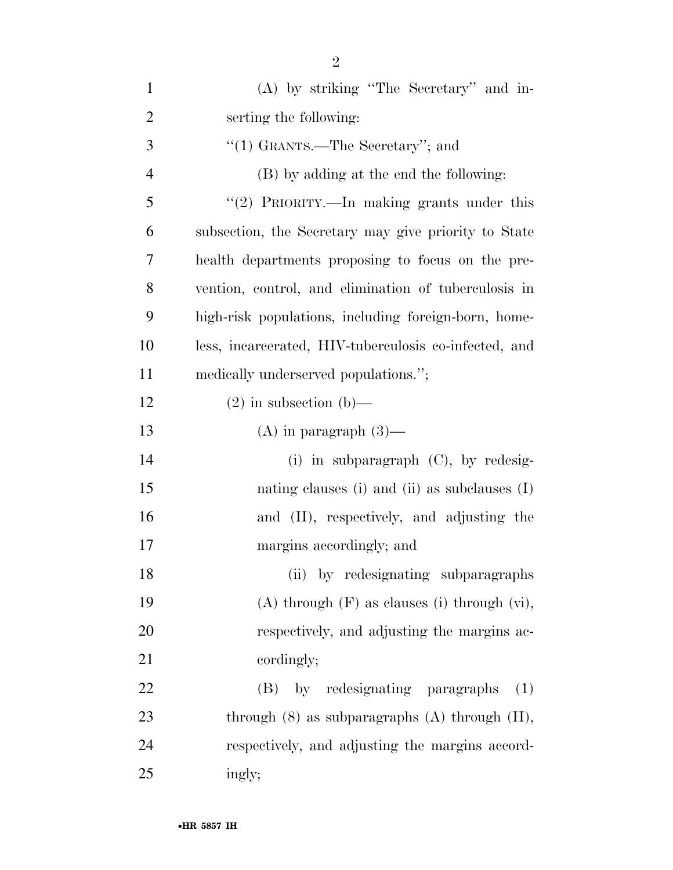| $\mathbf{1}$   | (A) by striking "The Secretary" and in-               |
|----------------|-------------------------------------------------------|
| $\overline{2}$ | serting the following:                                |
| 3              | "(1) GRANTS.—The Secretary"; and                      |
| $\overline{4}$ | (B) by adding at the end the following:               |
| 5              | "(2) PRIORITY.—In making grants under this            |
| 6              | subsection, the Secretary may give priority to State  |
| 7              | health departments proposing to focus on the pre-     |
| 8              | vention, control, and elimination of tuberculosis in  |
| 9              | high-risk populations, including foreign-born, home-  |
| 10             | less, incarcerated, HIV-tuberculosis co-infected, and |
| 11             | medically underserved populations.";                  |
| 12             | $(2)$ in subsection $(b)$ —                           |
| 13             | $(A)$ in paragraph $(3)$ —                            |
| 14             | (i) in subparagraph $(C)$ , by redesig-               |
| 15             | nating clauses (i) and (ii) as subclauses $(I)$       |
| 16             | and (II), respectively, and adjusting the             |
| 17             | margins accordingly; and                              |
| 18             | (ii) by redesignating subparagraphs                   |
| 19             | $(A)$ through $(F)$ as clauses (i) through $(vi)$ ,   |
| 20             | respectively, and adjusting the margins ac-           |
| 21             | cordingly;                                            |
| 22             | by redesignating paragraphs<br>(B)<br>(1)             |
| 23             | through $(8)$ as subparagraphs $(A)$ through $(H)$ ,  |
| 24             | respectively, and adjusting the margins accord-       |
| 25             | ingly;                                                |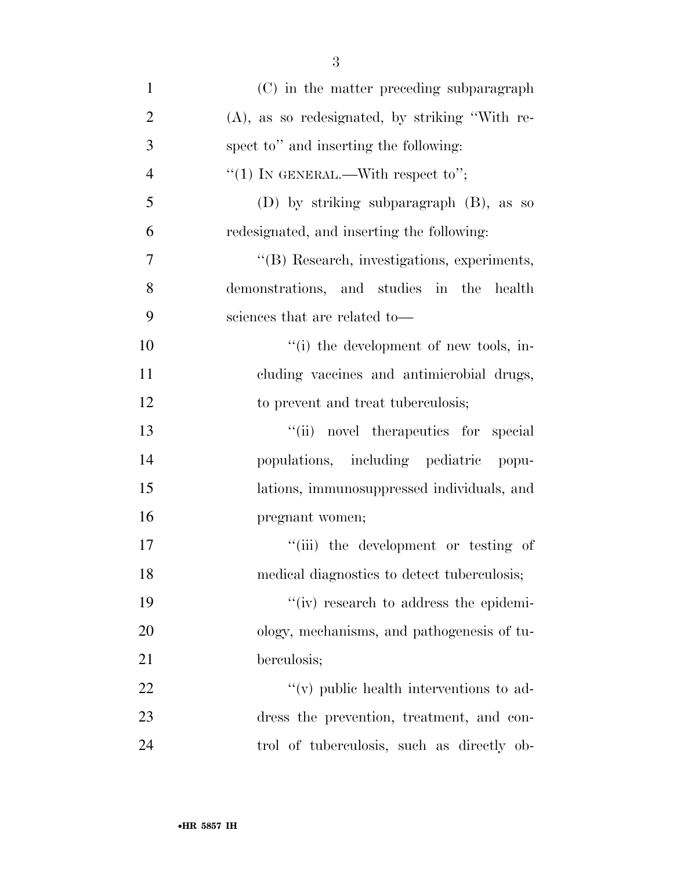| $\mathbf{1}$   | (C) in the matter preceding subparagraph          |
|----------------|---------------------------------------------------|
| $\overline{2}$ | $(A)$ , as so redesignated, by striking "With re- |
| 3              | spect to" and inserting the following:            |
| $\overline{4}$ | "(1) IN GENERAL.—With respect to";                |
| 5              | (D) by striking subparagraph $(B)$ , as so        |
| 6              | redesignated, and inserting the following:        |
| 7              | "(B) Research, investigations, experiments,       |
| 8              | demonstrations, and studies in the health         |
| 9              | sciences that are related to-                     |
| 10             | "(i) the development of new tools, in-            |
| 11             | cluding vaccines and antimicrobial drugs,         |
| 12             | to prevent and treat tuberculosis;                |
| 13             | "(ii) novel therapeutics for special              |
| 14             | populations, including pediatric popu-            |
| 15             | lations, immunosuppressed individuals, and        |
| 16             | pregnant women;                                   |
| 17             | "(iii) the development or testing of              |
| 18             | medical diagnostics to detect tuberculosis;       |
| 19             | "(iv) research to address the epidemi-            |
| 20             | ology, mechanisms, and pathogenesis of tu-        |
| 21             | berculosis;                                       |
| 22             | "(v) public health interventions to ad-           |
| 23             | dress the prevention, treatment, and con-         |
| 24             | trol of tuberculosis, such as directly ob-        |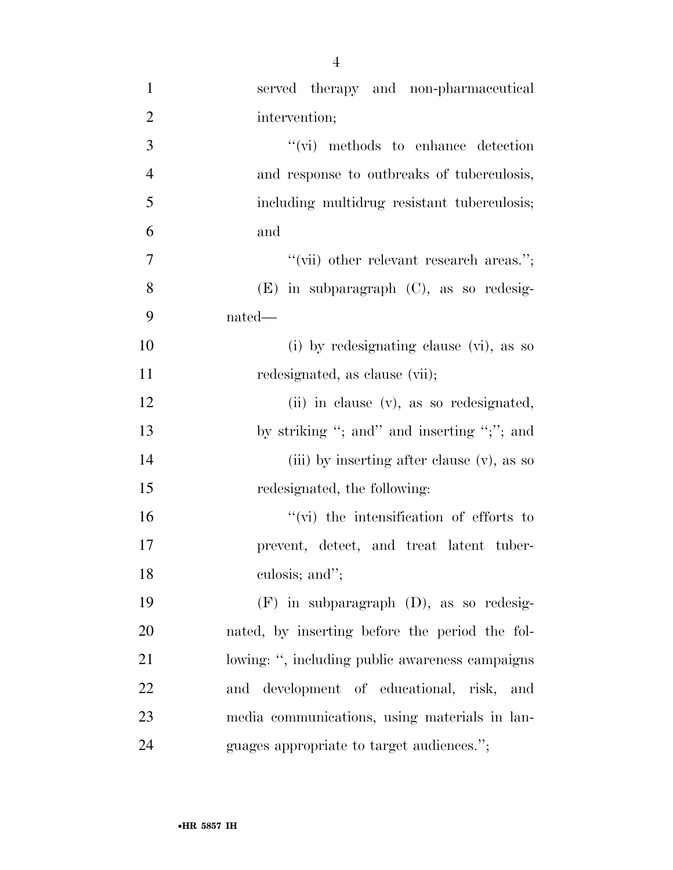| $\mathbf{1}$   | served therapy and non-pharmaceutical           |
|----------------|-------------------------------------------------|
| $\overline{2}$ | intervention;                                   |
| 3              | $``(vi)$ methods to enhance detection           |
| $\overline{4}$ | and response to outbreaks of tuberculosis,      |
| 5              | including multidrug resistant tuberculosis;     |
| 6              | and                                             |
| $\overline{7}$ | "(vii) other relevant research areas.";         |
| 8              | $(E)$ in subparagraph $(C)$ , as so redesig-    |
| 9              | nated—                                          |
| 10             | (i) by redesignating clause (vi), as so         |
| 11             | redesignated, as clause (vii);                  |
| 12             | (ii) in clause (v), as so redesignated,         |
| 13             | by striking "; and" and inserting ";"; and      |
| 14             | (iii) by inserting after clause (v), as so      |
| 15             | redesignated, the following:                    |
| 16             | $\lq\lq$ (vi) the intensification of efforts to |
| 17             | prevent, detect, and treat latent tuber-        |
| 18             | culosis; and";                                  |
| 19             | $(F)$ in subparagraph $(D)$ , as so redesig-    |
| 20             | nated, by inserting before the period the fol-  |
| 21             | lowing: ", including public awareness campaigns |
| 22             | and development of educational, risk, and       |
| 23             | media communications, using materials in lan-   |
| 24             | guages appropriate to target audiences.";       |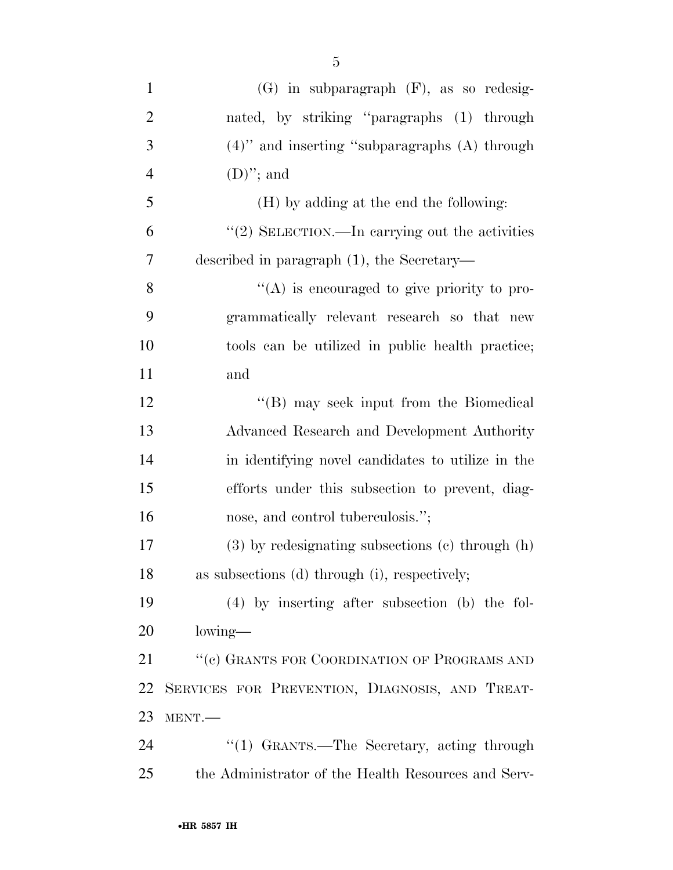| $\mathbf{1}$   | $(G)$ in subparagraph $(F)$ , as so redesig-           |
|----------------|--------------------------------------------------------|
| $\overline{2}$ | nated, by striking "paragraphs (1) through             |
| 3              | $(4)$ " and inserting "subparagraphs $(A)$ through     |
| $\overline{4}$ | $(D)$ "; and                                           |
| 5              | (H) by adding at the end the following:                |
| 6              | " $(2)$ SELECTION.—In carrying out the activities      |
| 7              | described in paragraph $(1)$ , the Secretary—          |
| 8              | $\lq\lq$ is encouraged to give priority to pro-        |
| 9              | grammatically relevant research so that new            |
| 10             | tools can be utilized in public health practice;       |
| 11             | and                                                    |
| 12             | "(B) may seek input from the Biomedical                |
| 13             | Advanced Research and Development Authority            |
| 14             | in identifying novel candidates to utilize in the      |
| 15             | efforts under this subsection to prevent, diag-        |
| 16             | nose, and control tuberculosis.";                      |
| 17             | $(3)$ by redesignating subsections $(e)$ through $(h)$ |
| 18             | as subsections (d) through (i), respectively;          |
| 19             | $(4)$ by inserting after subsection (b) the fol-       |
| <b>20</b>      | lowing—                                                |
| 21             | "(c) GRANTS FOR COORDINATION OF PROGRAMS AND           |
| 22             | SERVICES FOR PREVENTION, DIAGNOSIS, AND TREAT-         |
| 23             | MENT.                                                  |
| 24             | "(1) GRANTS.—The Secretary, acting through             |
| 25             | the Administrator of the Health Resources and Serv-    |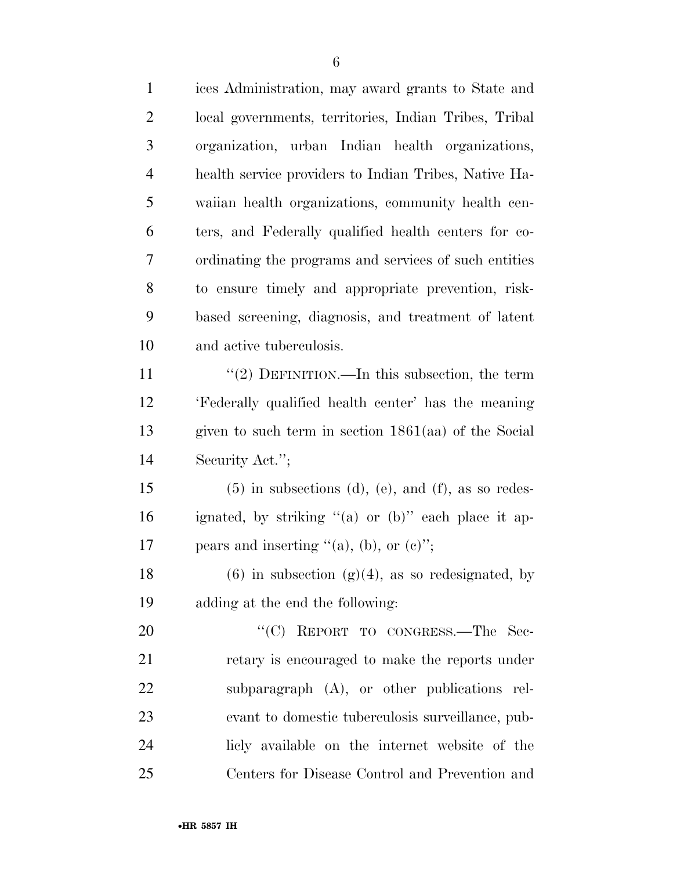| $\mathbf{1}$   | ices Administration, may award grants to State and     |
|----------------|--------------------------------------------------------|
| $\overline{2}$ | local governments, territories, Indian Tribes, Tribal  |
| 3              | organization, urban Indian health organizations,       |
| $\overline{4}$ | health service providers to Indian Tribes, Native Ha-  |
| 5              | waiian health organizations, community health cen-     |
| 6              | ters, and Federally qualified health centers for co-   |
| 7              | ordinating the programs and services of such entities  |
| 8              | to ensure timely and appropriate prevention, risk-     |
| 9              | based screening, diagnosis, and treatment of latent    |
| 10             | and active tuberculosis.                               |
| 11             | "(2) DEFINITION.—In this subsection, the term          |
| 12             | 'Federally qualified health center' has the meaning    |
| 13             | given to such term in section $1861(aa)$ of the Social |
| 14             | Security Act.";                                        |
| 15             | $(5)$ in subsections (d), (e), and (f), as so redes-   |
| 16             | ignated, by striking "(a) or (b)" each place it ap-    |
| 17             | pears and inserting " $(a)$ , (b), or $(c)$ ";         |
| 18             | $(6)$ in subsection $(g)(4)$ , as so redesignated, by  |
| 19             | adding at the end the following:                       |
| 20             | "(C) REPORT TO CONGRESS.—The Sec-                      |
| 21             | retary is encouraged to make the reports under         |
| 22             | subparagraph $(A)$ , or other publications rel-        |
| 23             | evant to domestic tuberculosis surveillance, pub-      |
| 24             | licly available on the internet website of the         |
| 25             | Centers for Disease Control and Prevention and         |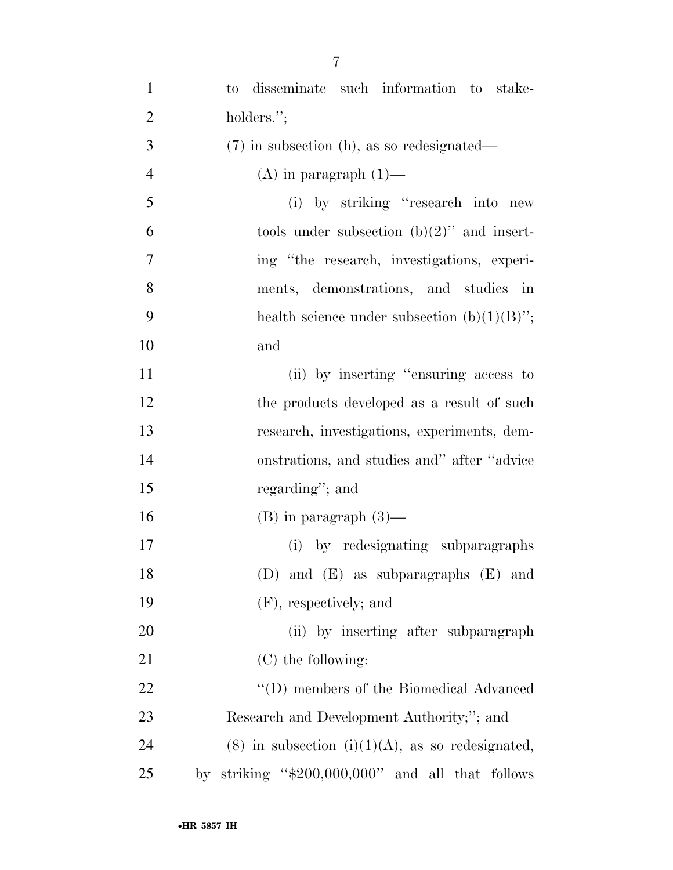| $\mathbf{1}$   | to disseminate such information to stake-              |
|----------------|--------------------------------------------------------|
| $\overline{2}$ | holders.";                                             |
| 3              | $(7)$ in subsection (h), as so redesignated—           |
| $\overline{4}$ | $(A)$ in paragraph $(1)$ —                             |
| 5              | (i) by striking "research into new                     |
| 6              | tools under subsection $(b)(2)$ " and insert-          |
| 7              | ing "the research, investigations, experi-             |
| 8              | ments, demonstrations, and studies<br>$\cdot$ in       |
| 9              | health science under subsection $(b)(1)(B)$ ";         |
| 10             | and                                                    |
| 11             | (ii) by inserting "ensuring access to                  |
| 12             | the products developed as a result of such             |
| 13             | research, investigations, experiments, dem-            |
| 14             | onstrations, and studies and" after "advice            |
| 15             | regarding"; and                                        |
| 16             | $(B)$ in paragraph $(3)$ —                             |
| 17             | (i) by redesignating subparagraphs                     |
| 18             | (D) and $(E)$ as subparagraphs $(E)$ and               |
| 19             | (F), respectively; and                                 |
| 20             | (ii) by inserting after subparagraph                   |
| 21             | $(C)$ the following:                                   |
| 22             | "(D) members of the Biomedical Advanced                |
| 23             | Research and Development Authority;"; and              |
| 24             | $(8)$ in subsection $(i)(1)(A)$ , as so redesignated,  |
| 25             | striking " $$200,000,000$ " and all that follows<br>by |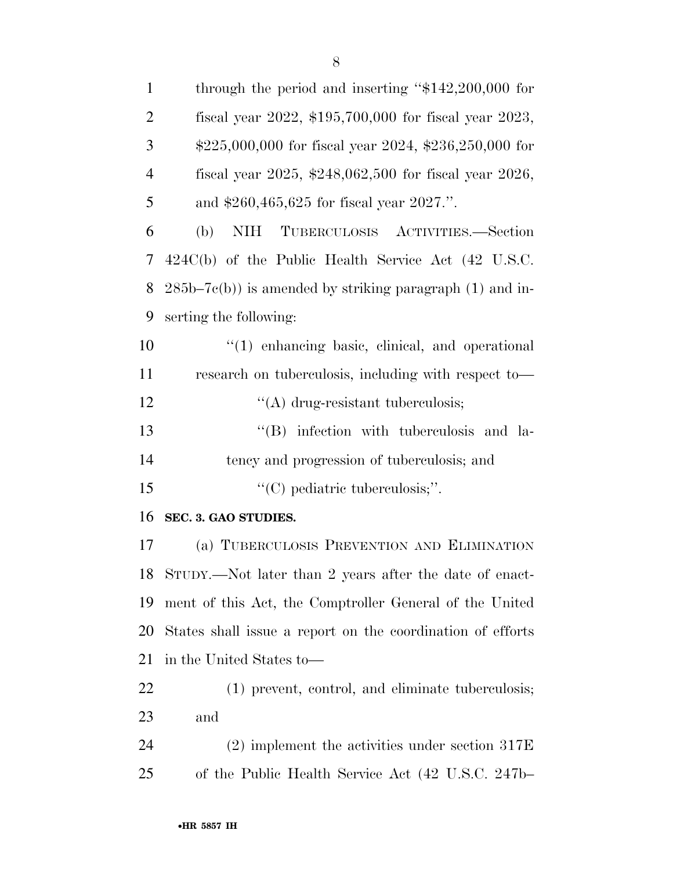| $\mathbf{1}$   | through the period and inserting " $$142,200,000$ for            |
|----------------|------------------------------------------------------------------|
| $\overline{2}$ | fiscal year 2022, \$195,700,000 for fiscal year 2023,            |
| 3              | $$225,000,000$ for fiscal year $2024$ , $$236,250,000$ for       |
| $\overline{4}$ | fiscal year 2025, $$248,062,500$ for fiscal year 2026,           |
| 5              | and $$260,465,625$ for fiscal year $2027$ .".                    |
| 6              | <b>NIH</b><br>TUBERCULOSIS ACTIVITIES.—Section<br>(b)            |
| 7              | $424C(b)$ of the Public Health Service Act $(42 \text{ U.S.C.})$ |
| 8              | $285b-7c(b)$ ) is amended by striking paragraph (1) and in-      |
| 9              | serting the following:                                           |
| 10             | $\lq(1)$ enhancing basic, clinical, and operational              |
| 11             | research on tuberculosis, including with respect to-             |
| 12             | $\lq\lq$ drug-resistant tuberculosis;                            |
| 13             | "(B) infection with tuberculosis and la-                         |
| 14             | tency and progression of tuberculosis; and                       |
| 15             | $\lq\lq$ (C) pediatric tuberculosis;".                           |
| 16             | SEC. 3. GAO STUDIES.                                             |
| 17             | (a) TUBERCULOSIS PREVENTION AND ELIMINATION                      |
| 18             | STUDY.—Not later than 2 years after the date of enact-           |
| 19             | ment of this Act, the Comptroller General of the United          |
| 20             | States shall issue a report on the coordination of efforts       |
| 21             | in the United States to—                                         |
| 22             | (1) prevent, control, and eliminate tuberculosis;                |
| 23             | and                                                              |
| 24             | $(2)$ implement the activities under section 317E                |
| 25             | of the Public Health Service Act (42 U.S.C. 247b–                |